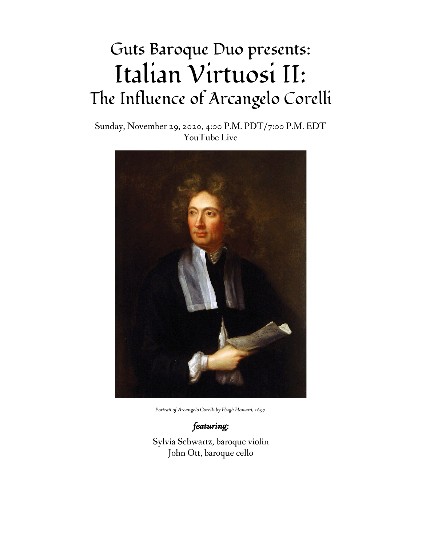# Guts Baroque Duo presents: Italian Virtuosi II: The Influence of Arcangelo Corelli

Sunday, November 29, 2020, 4:00 P.M. PDT/7:00 P.M. EDT YouTube Live



*Portrait of Arcangelo Corelli by Hugh Howard, 1697*

*featuring:* Sylvia Schwartz, baroque violin John Ott, baroque cello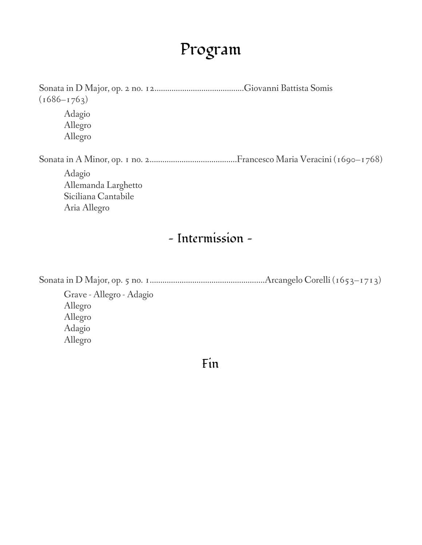#### Program

Sonata in D Major, op. 2 no. 12…………………..……………....Giovanni Battista Somis  $(1686 - 1763)$ Adagio Allegro Allegro Sonata in A Minor, op. 1 no. 2…..................................….Francesco Maria Veracini (1690–1768) Adagio Allemanda Larghetto Siciliana Cantabile Aria Allegro

#### — Intermission —

Sonata in D Major, op. 5 no. 1……………………………………..……….Arcangelo Corelli (1653–1713) Grave - Allegro - Adagio Allegro Allegro Adagio Allegro

Fin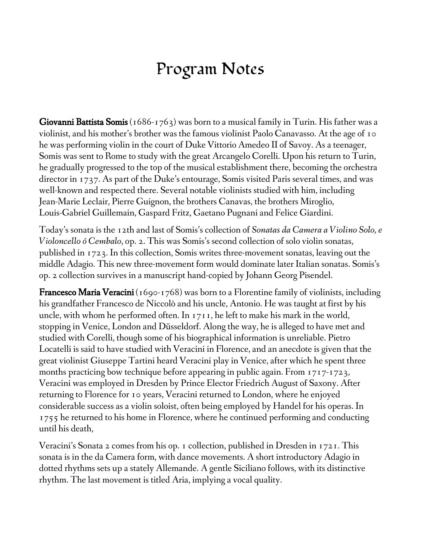### Program Notes

**Giovanni Battista Somis** (1686-1763) was born to a musical family in Turin. His father was a violinist, and his mother's brother was the famous violinist Paolo Canavasso. At the age of 10 he was performing violin in the court of Duke Vittorio Amedeo II of Savoy. As a teenager, Somis was sent to Rome to study with the great Arcangelo Corelli. Upon his return to Turin, he gradually progressed to the top of the musical establishment there, becoming the orchestra director in 1737. As part of the Duke's entourage, Somis visited Paris several times, and was well-known and respected there. Several notable violinists studied with him, including Jean-Marie Leclair, Pierre Guignon, the brothers Canavas, the brothers Miroglio, Louis-Gabriel Guillemain, Gaspard Fritz, Gaetano Pugnani and Felice Giardini.

Today's sonata is the 12th and last of Somis's collection of *Sonatas da Camera a Violino Solo, e Violoncello ô Cembalo*, op. 2. This was Somis's second collection of solo violin sonatas, published in 1723. In this collection, Somis writes three-movement sonatas, leaving out the middle Adagio. This new three-movement form would dominate later Italian sonatas. Somis's op. 2 collection survives in a manuscript hand-copied by Johann Georg Pisendel.

**Francesco Maria Veracini** (1690-1768) was born to a Florentine family of violinists, including his grandfather Francesco de Niccolò and his uncle, Antonio. He was taught at first by his uncle, with whom he performed often. In 1711, he left to make his mark in the world, stopping in Venice, London and Düsseldorf. Along the way, he is alleged to have met and studied with Corelli, though some of his biographical information is unreliable. Pietro Locatelli is said to have studied with Veracini in Florence, and an anecdote is given that the great violinist Giuseppe Tartini heard Veracini play in Venice, after which he spent three months practicing bow technique before appearing in public again. From 1717-1723, Veracini was employed in Dresden by Prince Elector Friedrich August of Saxony. After returning to Florence for 10 years, Veracini returned to London, where he enjoyed considerable success as a violin soloist, often being employed by Handel for his operas. In 1755 he returned to his home in Florence, where he continued performing and conducting until his death,

Veracini's Sonata 2 comes from his op. 1 collection, published in Dresden in 1721. This sonata is in the da Camera form, with dance movements. A short introductory Adagio in dotted rhythms sets up a stately Allemande. A gentle Siciliano follows, with its distinctive rhythm. The last movement is titled Aria, implying a vocal quality.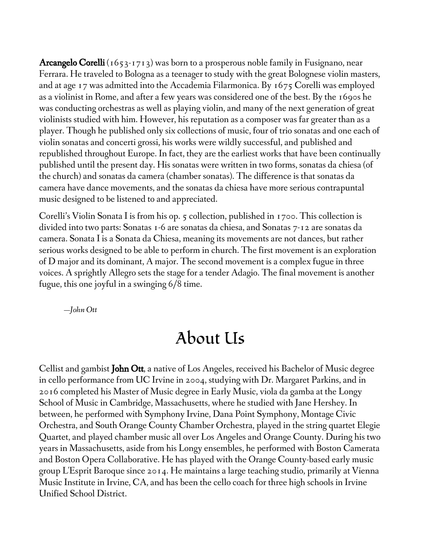**Arcangelo Corelli** (1653-1713) was born to a prosperous noble family in Fusignano, near Ferrara. He traveled to Bologna as a teenager to study with the great Bolognese violin masters, and at age 17 was admitted into the Accademia Filarmonica. By 1675 Corelli was employed as a violinist in Rome, and after a few years was considered one of the best. By the 1690s he was conducting orchestras as well as playing violin, and many of the next generation of great violinists studied with him. However, his reputation as a composer was far greater than as a player. Though he published only six collections of music, four of trio sonatas and one each of violin sonatas and concerti grossi, his works were wildly successful, and published and republished throughout Europe. In fact, they are the earliest works that have been continually published until the present day. His sonatas were written in two forms, sonatas da chiesa (of the church) and sonatas da camera (chamber sonatas). The difference is that sonatas da camera have dance movements, and the sonatas da chiesa have more serious contrapuntal music designed to be listened to and appreciated.

Corelli's Violin Sonata I is from his op. 5 collection, published in 1700. This collection is divided into two parts: Sonatas 1-6 are sonatas da chiesa, and Sonatas 7-12 are sonatas da camera. Sonata I is a Sonata da Chiesa, meaning its movements are not dances, but rather serious works designed to be able to perform in church. The first movement is an exploration of D major and its dominant, A major. The second movement is a complex fugue in three voices. A sprightly Allegro sets the stage for a tender Adagio. The final movement is another fugue, this one joyful in a swinging 6/8 time.

—*John Ott*

#### About Us

Cellist and gambist **John Ott**, a native of Los Angeles, received his Bachelor of Music degree in cello performance from UC Irvine in 2004, studying with Dr. Margaret Parkins, and in 2016 completed his Master of Music degree in Early Music, viola da gamba at the Longy School of Music in Cambridge, Massachusetts, where he studied with Jane Hershey. In between, he performed with Symphony Irvine, Dana Point Symphony, Montage Civic Orchestra, and South Orange County Chamber Orchestra, played in the string quartet Elegie Quartet, and played chamber music all over Los Angeles and Orange County. During his two years in Massachusetts, aside from his Longy ensembles, he performed with Boston Camerata and Boston Opera Collaborative. He has played with the Orange County-based early music group L'Esprit Baroque since 2014. He maintains a large teaching studio, primarily at Vienna Music Institute in Irvine, CA, and has been the cello coach for three high schools in Irvine Unified School District.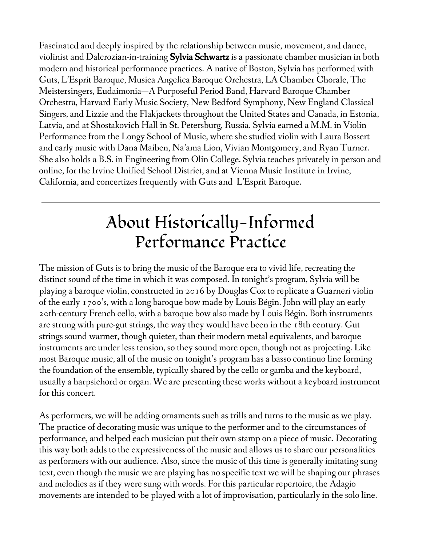Fascinated and deeply inspired by the relationship between music, movement, and dance, violinist and Dalcrozian-in-training **Sylvia Schwartz** is a passionate chamber musician in both modern and historical performance practices. A native of Boston, Sylvia has performed with Guts, L'Esprit Baroque, Musica Angelica Baroque Orchestra, LA Chamber Chorale, The Meistersingers, Eudaimonia—A Purposeful Period Band, Harvard Baroque Chamber Orchestra, Harvard Early Music Society, New Bedford Symphony, New England Classical Singers, and Lizzie and the Flakjackets throughout the United States and Canada, in Estonia, Latvia, and at Shostakovich Hall in St. Petersburg, Russia. Sylvia earned a M.M. in Violin Performance from the Longy School of Music, where she studied violin with Laura Bossert and early music with Dana Maiben, Na'ama Lion, Vivian Montgomery, and Ryan Turner. She also holds a B.S. in Engineering from Olin College. Sylvia teaches privately in person and online, for the Irvine Unified School District, and at Vienna Music Institute in Irvine, California, and concertizes frequently with Guts and L'Esprit Baroque.

## About Historically-Informed Performance Practice

The mission of Guts is to bring the music of the Baroque era to vivid life, recreating the distinct sound of the time in which it was composed. In tonight's program, Sylvia will be playing a baroque violin, constructed in 2016 by Douglas Cox to replicate a Guarneri violin of the early 1700's, with a long baroque bow made by Louis Bégin. John will play an early 20th-century French cello, with a baroque bow also made by Louis Bégin. Both instruments are strung with pure-gut strings, the way they would have been in the 18th century. Gut strings sound warmer, though quieter, than their modern metal equivalents, and baroque instruments are under less tension, so they sound more open, though not as projecting. Like most Baroque music, all of the music on tonight's program has a basso continuo line forming the foundation of the ensemble, typically shared by the cello or gamba and the keyboard, usually a harpsichord or organ. We are presenting these works without a keyboard instrument for this concert.

As performers, we will be adding ornaments such as trills and turns to the music as we play. The practice of decorating music was unique to the performer and to the circumstances of performance, and helped each musician put their own stamp on a piece of music. Decorating this way both adds to the expressiveness of the music and allows us to share our personalities as performers with our audience. Also, since the music of this time is generally imitating sung text, even though the music we are playing has no specific text we will be shaping our phrases and melodies as if they were sung with words. For this particular repertoire, the Adagio movements are intended to be played with a lot of improvisation, particularly in the solo line.